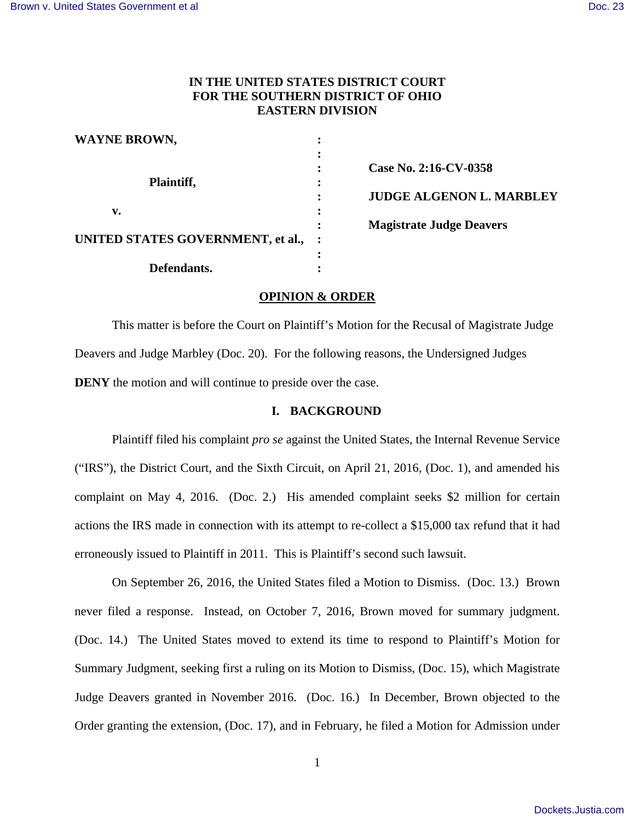# **IN THE UNITED STATES DISTRICT COURT FOR THE SOUTHERN DISTRICT OF OHIO EASTERN DIVISION**

| <b>WAYNE BROWN,</b>               |                                 |
|-----------------------------------|---------------------------------|
|                                   | Case No. 2:16-CV-0358           |
| Plaintiff,                        | <b>JUDGE ALGENON L. MARBLEY</b> |
| v.                                |                                 |
|                                   | <b>Magistrate Judge Deavers</b> |
| UNITED STATES GOVERNMENT, et al., |                                 |
| Defendants.                       |                                 |
|                                   |                                 |

### **OPINION & ORDER**

This matter is before the Court on Plaintiff's Motion for the Recusal of Magistrate Judge Deavers and Judge Marbley (Doc. 20). For the following reasons, the Undersigned Judges **DENY** the motion and will continue to preside over the case.

#### **I. BACKGROUND**

Plaintiff filed his complaint *pro se* against the United States, the Internal Revenue Service ("IRS"), the District Court, and the Sixth Circuit, on April 21, 2016, (Doc. 1), and amended his complaint on May 4, 2016. (Doc. 2.) His amended complaint seeks \$2 million for certain actions the IRS made in connection with its attempt to re-collect a \$15,000 tax refund that it had erroneously issued to Plaintiff in 2011. This is Plaintiff's second such lawsuit.

On September 26, 2016, the United States filed a Motion to Dismiss. (Doc. 13.) Brown never filed a response. Instead, on October 7, 2016, Brown moved for summary judgment. (Doc. 14.) The United States moved to extend its time to respond to Plaintiff's Motion for Summary Judgment, seeking first a ruling on its Motion to Dismiss, (Doc. 15), which Magistrate Judge Deavers granted in November 2016. (Doc. 16.) In December, Brown objected to the Order granting the extension, (Doc. 17), and in February, he filed a Motion for Admission under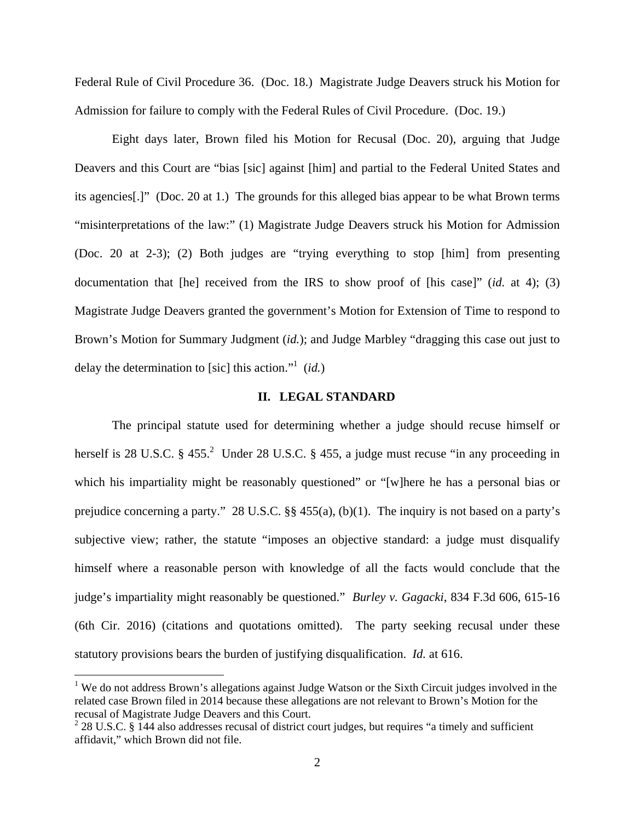Federal Rule of Civil Procedure 36. (Doc. 18.) Magistrate Judge Deavers struck his Motion for Admission for failure to comply with the Federal Rules of Civil Procedure. (Doc. 19.)

Eight days later, Brown filed his Motion for Recusal (Doc. 20), arguing that Judge Deavers and this Court are "bias [sic] against [him] and partial to the Federal United States and its agencies[.]" (Doc. 20 at 1.) The grounds for this alleged bias appear to be what Brown terms "misinterpretations of the law:" (1) Magistrate Judge Deavers struck his Motion for Admission (Doc. 20 at 2-3); (2) Both judges are "trying everything to stop [him] from presenting documentation that [he] received from the IRS to show proof of [his case]" (*id.* at 4); (3) Magistrate Judge Deavers granted the government's Motion for Extension of Time to respond to Brown's Motion for Summary Judgment (*id.*); and Judge Marbley "dragging this case out just to delay the determination to [sic] this action."<sup>1</sup> (*id.*)

### **II. LEGAL STANDARD**

The principal statute used for determining whether a judge should recuse himself or herself is 28 U.S.C.  $\S 455$ .<sup>2</sup> Under 28 U.S.C.  $\S 455$ , a judge must recuse "in any proceeding in which his impartiality might be reasonably questioned" or "[w]here he has a personal bias or prejudice concerning a party." 28 U.S.C. §§ 455(a), (b)(1). The inquiry is not based on a party's subjective view; rather, the statute "imposes an objective standard: a judge must disqualify himself where a reasonable person with knowledge of all the facts would conclude that the judge's impartiality might reasonably be questioned." *Burley v. Gagacki*, 834 F.3d 606, 615-16 (6th Cir. 2016) (citations and quotations omitted). The party seeking recusal under these statutory provisions bears the burden of justifying disqualification. *Id.* at 616.

-

<sup>&</sup>lt;sup>1</sup> We do not address Brown's allegations against Judge Watson or the Sixth Circuit judges involved in the related case Brown filed in 2014 because these allegations are not relevant to Brown's Motion for the recusal of Magistrate Judge Deavers and this Court.

 $228$  U.S.C. § 144 also addresses recusal of district court judges, but requires "a timely and sufficient affidavit," which Brown did not file.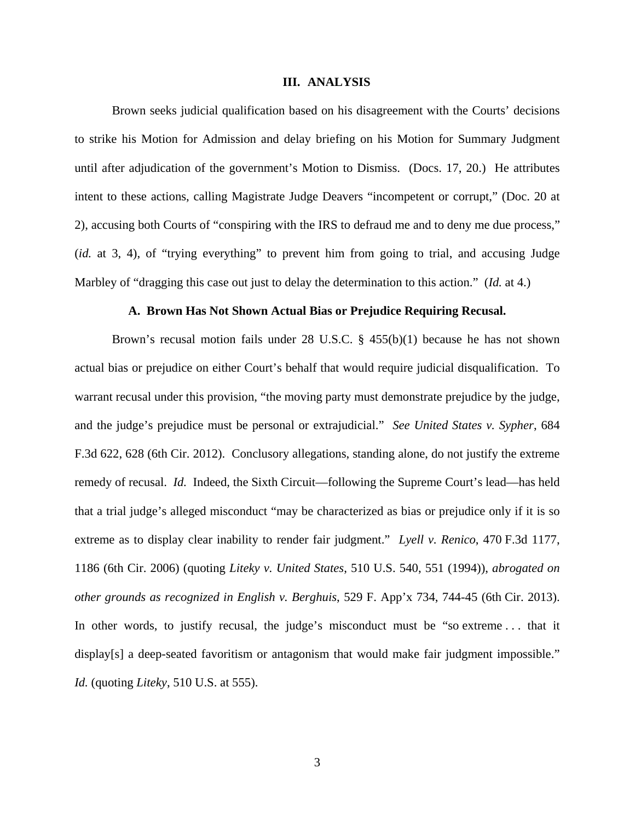#### **III. ANALYSIS**

Brown seeks judicial qualification based on his disagreement with the Courts' decisions to strike his Motion for Admission and delay briefing on his Motion for Summary Judgment until after adjudication of the government's Motion to Dismiss. (Docs. 17, 20.) He attributes intent to these actions, calling Magistrate Judge Deavers "incompetent or corrupt," (Doc. 20 at 2), accusing both Courts of "conspiring with the IRS to defraud me and to deny me due process," (*id.* at 3, 4), of "trying everything" to prevent him from going to trial, and accusing Judge Marbley of "dragging this case out just to delay the determination to this action." (*Id.* at 4.)

#### **A. Brown Has Not Shown Actual Bias or Prejudice Requiring Recusal.**

 Brown's recusal motion fails under 28 U.S.C. § 455(b)(1) because he has not shown actual bias or prejudice on either Court's behalf that would require judicial disqualification. To warrant recusal under this provision, "the moving party must demonstrate prejudice by the judge, and the judge's prejudice must be personal or extrajudicial." *See United States v. Sypher*, 684 F.3d 622, 628 (6th Cir. 2012). Conclusory allegations, standing alone, do not justify the extreme remedy of recusal. *Id.* Indeed, the Sixth Circuit—following the Supreme Court's lead—has held that a trial judge's alleged misconduct "may be characterized as bias or prejudice only if it is so extreme as to display clear inability to render fair judgment." *Lyell v. Renico*, 470 F.3d 1177, 1186 (6th Cir. 2006) (quoting *Liteky v. United States*, 510 U.S. 540, 551 (1994)), *abrogated on other grounds as recognized in English v. Berghuis*, 529 F. App'x 734, 744-45 (6th Cir. 2013). In other words, to justify recusal, the judge's misconduct must be "so extreme . . . that it display[s] a deep-seated favoritism or antagonism that would make fair judgment impossible." *Id.* (quoting *Liteky*, 510 U.S. at 555).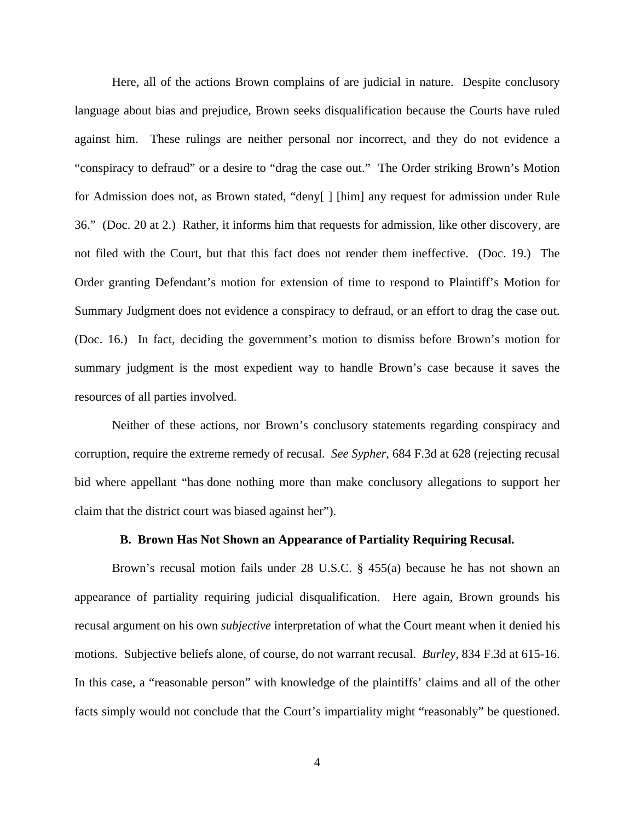Here, all of the actions Brown complains of are judicial in nature. Despite conclusory language about bias and prejudice, Brown seeks disqualification because the Courts have ruled against him. These rulings are neither personal nor incorrect, and they do not evidence a "conspiracy to defraud" or a desire to "drag the case out." The Order striking Brown's Motion for Admission does not, as Brown stated, "deny[ ] [him] any request for admission under Rule 36." (Doc. 20 at 2.) Rather, it informs him that requests for admission, like other discovery, are not filed with the Court, but that this fact does not render them ineffective. (Doc. 19.) The Order granting Defendant's motion for extension of time to respond to Plaintiff's Motion for Summary Judgment does not evidence a conspiracy to defraud, or an effort to drag the case out. (Doc. 16.) In fact, deciding the government's motion to dismiss before Brown's motion for summary judgment is the most expedient way to handle Brown's case because it saves the resources of all parties involved.

Neither of these actions, nor Brown's conclusory statements regarding conspiracy and corruption, require the extreme remedy of recusal. *See Sypher*, 684 F.3d at 628 (rejecting recusal bid where appellant "has done nothing more than make conclusory allegations to support her claim that the district court was biased against her").

#### **B. Brown Has Not Shown an Appearance of Partiality Requiring Recusal.**

 Brown's recusal motion fails under 28 U.S.C. § 455(a) because he has not shown an appearance of partiality requiring judicial disqualification. Here again, Brown grounds his recusal argument on his own *subjective* interpretation of what the Court meant when it denied his motions. Subjective beliefs alone, of course, do not warrant recusal. *Burley*, 834 F.3d at 615-16. In this case, a "reasonable person" with knowledge of the plaintiffs' claims and all of the other facts simply would not conclude that the Court's impartiality might "reasonably" be questioned.